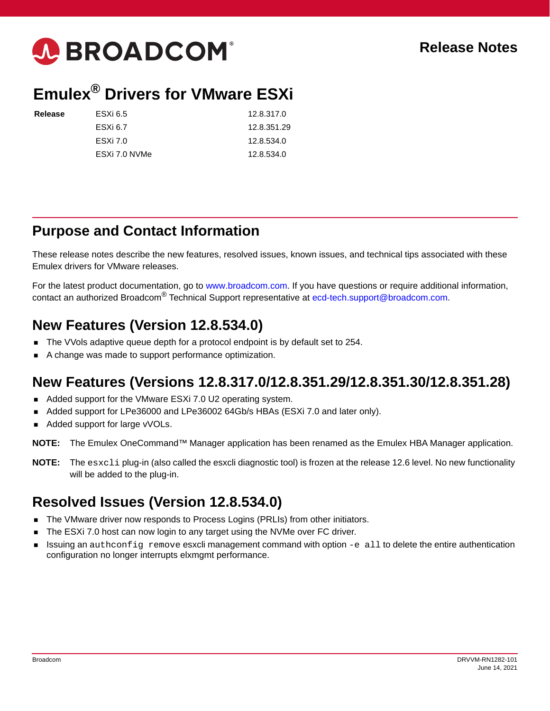

# **Emulex® Drivers for VMware ESXi**

| Release | ESXi 6.5      | 12.8.317.0  |
|---------|---------------|-------------|
|         | ESXi 6.7      | 12.8.351.29 |
|         | ESXi 7.0      | 12.8.534.0  |
|         | ESXi 7.0 NVMe | 12.8.534.0  |
|         |               |             |

### **Purpose and Contact Information**

These release notes describe the new features, resolved issues, known issues, and technical tips associated with these Emulex drivers for VMware releases.

For the latest product documentation, go to [www.broadcom.com.](https://www.broadcom.com) If you have questions or require additional information, contact an authorized Broadcom<sup>®</sup> Technical Support representative at [ecd-tech.support@broadcom.com](mailto:ecd-tech.support@broadcom.com).

## **New Features (Version 12.8.534.0)**

- The VVols adaptive queue depth for a protocol endpoint is by default set to 254.
- A change was made to support performance optimization.

## **New Features (Versions 12.8.317.0/12.8.351.29/12.8.351.30/12.8.351.28)**

- Added support for the VMware ESXi 7.0 U2 operating system.
- Added support for LPe36000 and LPe36002 64Gb/s HBAs (ESXi 7.0 and later only).
- Added support for large vVOLs.

**NOTE:** The Emulex OneCommand™ Manager application has been renamed as the Emulex HBA Manager application.

**NOTE:** The esxcli plug-in (also called the esxcli diagnostic tool) is frozen at the release 12.6 level. No new functionality will be added to the plug-in.

## **Resolved Issues (Version 12.8.534.0)**

- The VMware driver now responds to Process Logins (PRLIs) from other initiators.
- The ESXi 7.0 host can now login to any target using the NVMe over FC driver.
- **Issuing an authconfig remove esxcli management command with option**  $-e$  all to delete the entire authentication configuration no longer interrupts elxmgmt performance.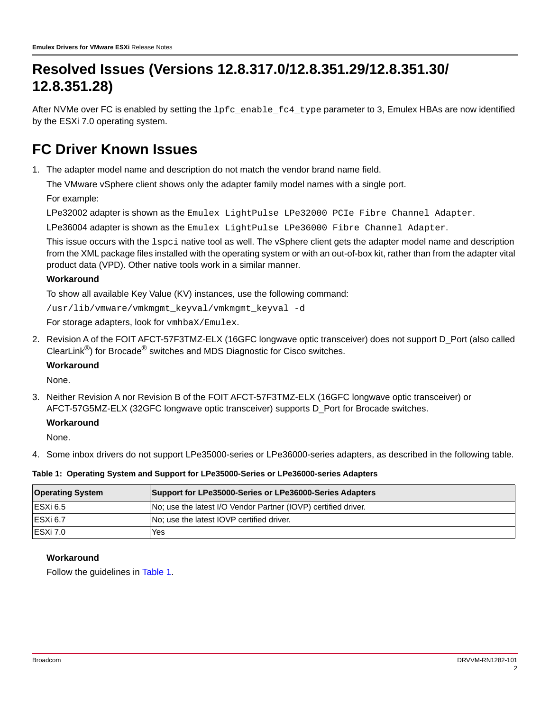## **Resolved Issues (Versions 12.8.317.0/12.8.351.29/12.8.351.30/ 12.8.351.28)**

After NVMe over FC is enabled by setting the  $1pfc$  enable\_fc4\_type parameter to 3, Emulex HBAs are now identified by the ESXi 7.0 operating system.

## **FC Driver Known Issues**

1. The adapter model name and description do not match the vendor brand name field.

The VMware vSphere client shows only the adapter family model names with a single port.

For example:

LPe32002 adapter is shown as the Emulex LightPulse LPe32000 PCIe Fibre Channel Adapter.

LPe36004 adapter is shown as the Emulex LightPulse LPe36000 Fibre Channel Adapter.

This issue occurs with the lspci native tool as well. The vSphere client gets the adapter model name and description from the XML package files installed with the operating system or with an out-of-box kit, rather than from the adapter vital product data (VPD). Other native tools work in a similar manner.

#### **Workaround**

To show all available Key Value (KV) instances, use the following command:

/usr/lib/vmware/vmkmgmt\_keyval/vmkmgmt\_keyval -d

For storage adapters, look for vmhbaX/Emulex.

2. Revision A of the FOIT AFCT-57F3TMZ-ELX (16GFC longwave optic transceiver) does not support D\_Port (also called ClearLink®) for Brocade® switches and MDS Diagnostic for Cisco switches.

#### **Workaround**

None.

3. Neither Revision A nor Revision B of the FOIT AFCT-57F3TMZ-ELX (16GFC longwave optic transceiver) or AFCT-57G5MZ-ELX (32GFC longwave optic transceiver) supports D\_Port for Brocade switches.

#### **Workaround**

None.

4. Some inbox drivers do not support LPe35000-series or LPe36000-series adapters, as described in the following table.

#### <span id="page-1-0"></span>**Table 1: Operating System and Support for LPe35000-Series or LPe36000-series Adapters**

| <b>Operating System</b> | Support for LPe35000-Series or LPe36000-Series Adapters        |  |
|-------------------------|----------------------------------------------------------------|--|
| IESXi 6.5               | No; use the latest I/O Vendor Partner (IOVP) certified driver. |  |
| IESXi 6.7               | No; use the latest IOVP certified driver.                      |  |
| IESXi 7.0               | Yes                                                            |  |

#### **Workaround**

Follow the guidelines in [Table 1.](#page-1-0)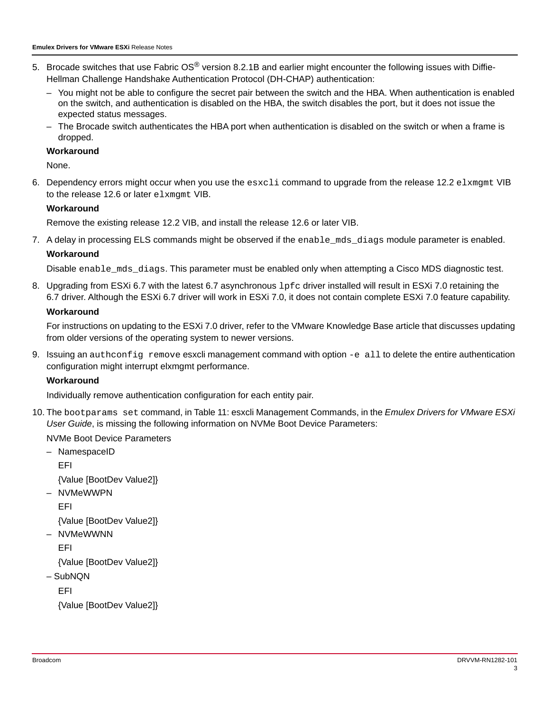- 5. Brocade switches that use Fabric OS<sup>®</sup> version 8.2.1B and earlier might encounter the following issues with Diffie-Hellman Challenge Handshake Authentication Protocol (DH-CHAP) authentication:
	- You might not be able to configure the secret pair between the switch and the HBA. When authentication is enabled on the switch, and authentication is disabled on the HBA, the switch disables the port, but it does not issue the expected status messages.
	- The Brocade switch authenticates the HBA port when authentication is disabled on the switch or when a frame is dropped.

#### **Workaround**

None.

6. Dependency errors might occur when you use the esxcli command to upgrade from the release 12.2 elxmgmt VIB to the release 12.6 or later elxmgmt VIB.

#### **Workaround**

Remove the existing release 12.2 VIB, and install the release 12.6 or later VIB.

7. A delay in processing ELS commands might be observed if the enable\_mds\_diags module parameter is enabled.

#### **Workaround**

Disable enable\_mds\_diags. This parameter must be enabled only when attempting a Cisco MDS diagnostic test.

8. Upgrading from ESXi 6.7 with the latest 6.7 asynchronous  $1pfc$  driver installed will result in ESXi 7.0 retaining the 6.7 driver. Although the ESXi 6.7 driver will work in ESXi 7.0, it does not contain complete ESXi 7.0 feature capability.

#### **Workaround**

For instructions on updating to the ESXi 7.0 driver, refer to the VMware Knowledge Base article that discusses updating from older versions of the operating system to newer versions.

9. Issuing an authconfig remove esxcli management command with option -e all to delete the entire authentication configuration might interrupt elxmgmt performance.

#### **Workaround**

Individually remove authentication configuration for each entity pair.

10. The bootparams set command, in Table 11: esxcli Management Commands, in the *Emulex Drivers for VMware ESXi User Guide*, is missing the following information on NVMe Boot Device Parameters:

#### NVMe Boot Device Parameters

– NamespaceID

EFI

{Value [BootDev Value2]}

– NVMeWWPN

EFI

{Value [BootDev Value2]}

– NVMeWWNN

EFI

{Value [BootDev Value2]}

– SubNQN

EFI

{Value [BootDev Value2]}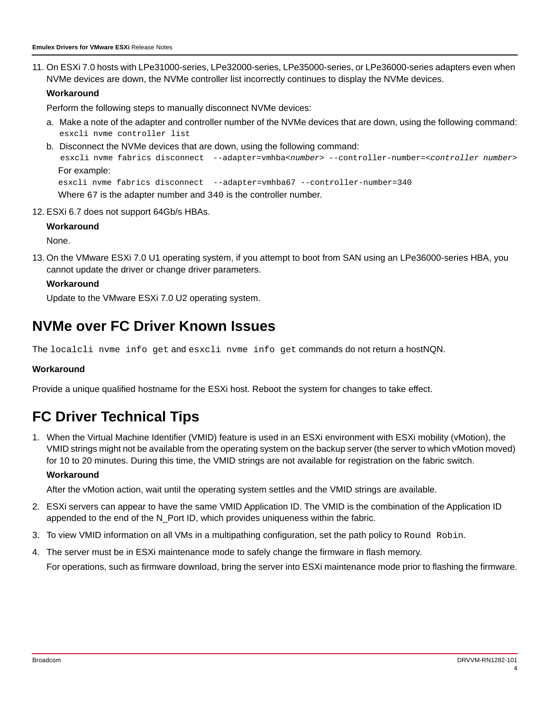11. On ESXi 7.0 hosts with LPe31000-series, LPe32000-series, LPe35000-series, or LPe36000-series adapters even when NVMe devices are down, the NVMe controller list incorrectly continues to display the NVMe devices.

#### **Workaround**

Perform the following steps to manually disconnect NVMe devices:

- a. Make a note of the adapter and controller number of the NVMe devices that are down, using the following command: esxcli nvme controller list
- b. Disconnect the NVMe devices that are down, using the following command: esxcli nvme fabrics disconnect --adapter=vmhba<*number*> --controller-number=<*controller number*> For example: esxcli nvme fabrics disconnect --adapter=vmhba67 --controller-number=340

Where 67 is the adapter number and 340 is the controller number.

12. ESXi 6.7 does not support 64Gb/s HBAs.

#### **Workaround**

None.

13. On the VMware ESXi 7.0 U1 operating system, if you attempt to boot from SAN using an LPe36000-series HBA, you cannot update the driver or change driver parameters.

#### **Workaround**

Update to the VMware ESXi 7.0 U2 operating system.

## **NVMe over FC Driver Known Issues**

The localcli nvme info get and esxcli nvme info get commands do not return a hostNQN.

#### **Workaround**

Provide a unique qualified hostname for the ESXi host. Reboot the system for changes to take effect.

## **FC Driver Technical Tips**

1. When the Virtual Machine Identifier (VMID) feature is used in an ESXi environment with ESXi mobility (vMotion), the VMID strings might not be available from the operating system on the backup server (the server to which vMotion moved) for 10 to 20 minutes. During this time, the VMID strings are not available for registration on the fabric switch. **Workaround**

After the vMotion action, wait until the operating system settles and the VMID strings are available.

- 2. ESXi servers can appear to have the same VMID Application ID. The VMID is the combination of the Application ID appended to the end of the N\_Port ID, which provides uniqueness within the fabric.
- 3. To view VMID information on all VMs in a multipathing configuration, set the path policy to Round Robin.
- 4. The server must be in ESXi maintenance mode to safely change the firmware in flash memory.

For operations, such as firmware download, bring the server into ESXi maintenance mode prior to flashing the firmware.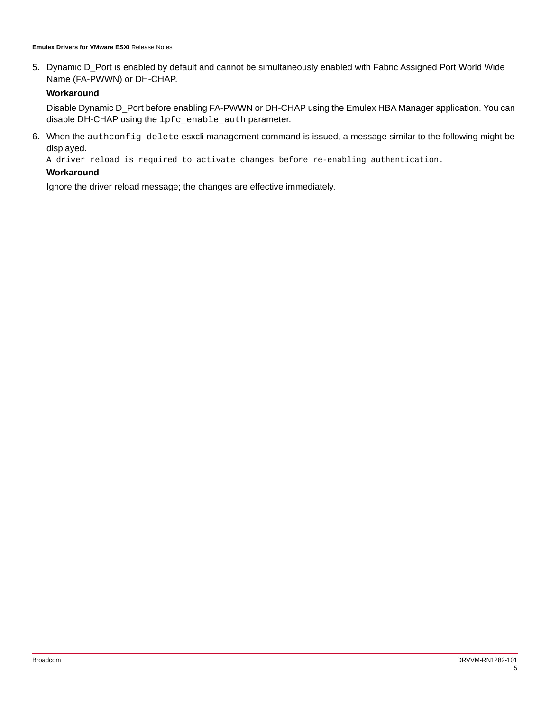5. Dynamic D\_Port is enabled by default and cannot be simultaneously enabled with Fabric Assigned Port World Wide Name (FA-PWWN) or DH-CHAP.

#### **Workaround**

Disable Dynamic D\_Port before enabling FA-PWWN or DH-CHAP using the Emulex HBA Manager application. You can disable DH-CHAP using the lpfc\_enable\_auth parameter.

6. When the authconfig delete esxcli management command is issued, a message similar to the following might be displayed.

A driver reload is required to activate changes before re-enabling authentication.

#### **Workaround**

Ignore the driver reload message; the changes are effective immediately.